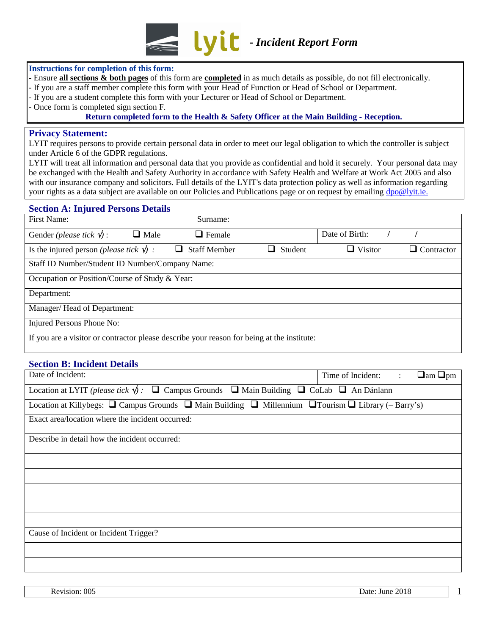

#### **Instructions for completion of this form:**

- Ensure **all sections & both pages** of this form are **completed** in as much details as possible, do not fill electronically.
- If you are a staff member complete this form with your Head of Function or Head of School or Department.
- If you are a student complete this form with your Lecturer or Head of School or Department.
- Once form is completed sign section F.

#### **Return completed form to the Health & Safety Officer at the Main Building - Reception.**

#### **Privacy Statement:**

LYIT requires persons to provide certain personal data in order to meet our legal obligation to which the controller is subject under Article 6 of the GDPR regulations.

LYIT will treat all information and personal data that you provide as confidential and hold it securely. Your personal data may be exchanged with the Health and Safety Authority in accordance with Safety Health and Welfare at Work Act 2005 and also with our insurance company and solicitors. Full details of the LYIT's data protection policy as well as information regarding your rights as a data subject are available on our Policies and Publications page or on request by emailing [dpo@lyit.ie](mailto:dpo@lyit.ie).

### **Section A: Injured Persons Details**

| First Name:                                                                                | Surname:            |         |                |            |  |
|--------------------------------------------------------------------------------------------|---------------------|---------|----------------|------------|--|
| Gender ( <i>please tick</i> $\mathbf{\hat{v}}$ ):<br>$\Box$ Male                           | $\Box$ Female       |         | Date of Birth: |            |  |
| Is the injured person <i>(please tick</i> $\sqrt{\ }$ ) :                                  | <b>Staff Member</b> | Student | $\Box$ Visitor | Contractor |  |
| Staff ID Number/Student ID Number/Company Name:                                            |                     |         |                |            |  |
| Occupation or Position/Course of Study & Year:                                             |                     |         |                |            |  |
| Department:                                                                                |                     |         |                |            |  |
| Manager/Head of Department:                                                                |                     |         |                |            |  |
| Injured Persons Phone No:                                                                  |                     |         |                |            |  |
| If you are a visitor or contractor please describe your reason for being at the institute: |                     |         |                |            |  |

### **Section B: Incident Details**

| Date of Incident:                                                                                                             | Time of Incident: | $\Delta \sim 10^4$ | $\Box$ am $\Box$ pm |  |  |  |
|-------------------------------------------------------------------------------------------------------------------------------|-------------------|--------------------|---------------------|--|--|--|
| Location at LYIT (please tick $\psi$ ): $\Box$ Campus Grounds $\Box$ Main Building $\Box$ CoLab $\Box$ An Dánlann             |                   |                    |                     |  |  |  |
| Location at Killybegs: $\Box$ Campus Grounds $\Box$ Main Building $\Box$ Millennium $\Box$ Tourism $\Box$ Library (- Barry's) |                   |                    |                     |  |  |  |
| Exact area/location where the incident occurred:                                                                              |                   |                    |                     |  |  |  |
| Describe in detail how the incident occurred:                                                                                 |                   |                    |                     |  |  |  |
|                                                                                                                               |                   |                    |                     |  |  |  |
|                                                                                                                               |                   |                    |                     |  |  |  |
|                                                                                                                               |                   |                    |                     |  |  |  |
|                                                                                                                               |                   |                    |                     |  |  |  |
|                                                                                                                               |                   |                    |                     |  |  |  |
| Cause of Incident or Incident Trigger?                                                                                        |                   |                    |                     |  |  |  |
|                                                                                                                               |                   |                    |                     |  |  |  |
|                                                                                                                               |                   |                    |                     |  |  |  |